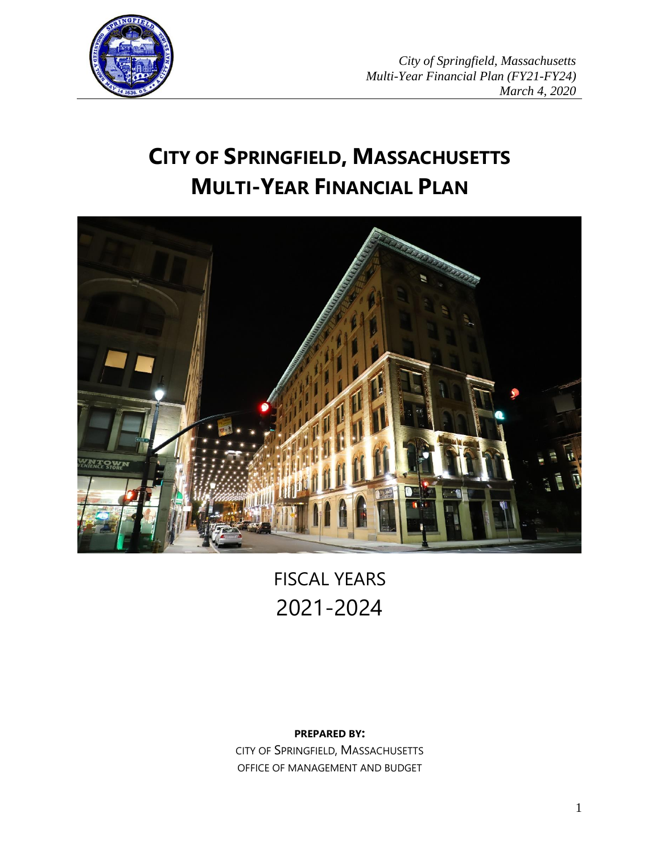

# **CITY OF SPRINGFIELD, MASSACHUSETTS MULTI-YEAR FINANCIAL PLAN**



FISCAL YEARS 2021-2024

# **PREPARED BY:**

CITY OF SPRINGFIELD, MASSACHUSETTS OFFICE OF MANAGEMENT AND BUDGET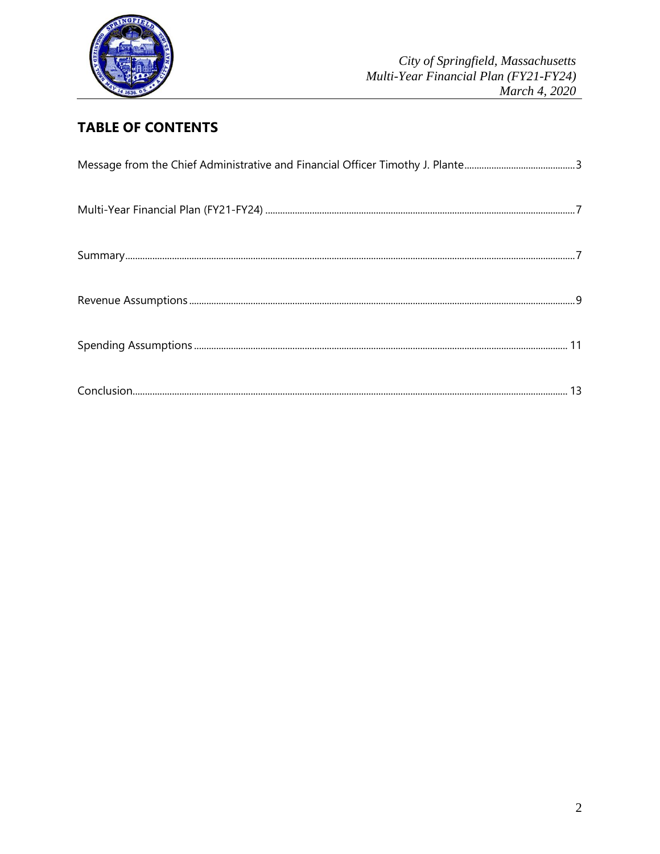

# **TABLE OF CONTENTS**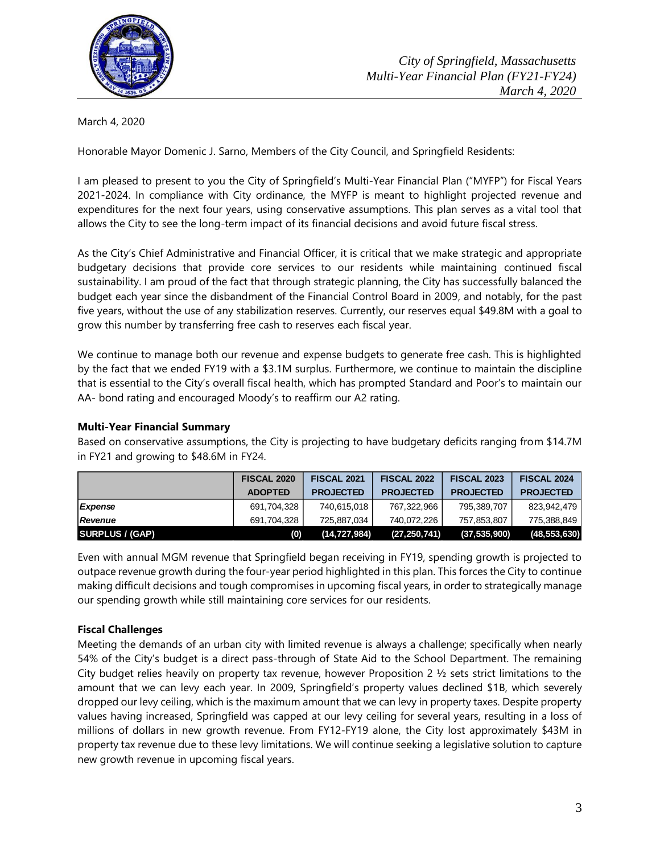

March 4, 2020

Honorable Mayor Domenic J. Sarno, Members of the City Council, and Springfield Residents:

I am pleased to present to you the City of Springfield's Multi-Year Financial Plan ("MYFP") for Fiscal Years 2021-2024. In compliance with City ordinance, the MYFP is meant to highlight projected revenue and expenditures for the next four years, using conservative assumptions. This plan serves as a vital tool that allows the City to see the long-term impact of its financial decisions and avoid future fiscal stress.

As the City's Chief Administrative and Financial Officer, it is critical that we make strategic and appropriate budgetary decisions that provide core services to our residents while maintaining continued fiscal sustainability. I am proud of the fact that through strategic planning, the City has successfully balanced the budget each year since the disbandment of the Financial Control Board in 2009, and notably, for the past five years, without the use of any stabilization reserves. Currently, our reserves equal \$49.8M with a goal to grow this number by transferring free cash to reserves each fiscal year.

We continue to manage both our revenue and expense budgets to generate free cash. This is highlighted by the fact that we ended FY19 with a \$3.1M surplus. Furthermore, we continue to maintain the discipline that is essential to the City's overall fiscal health, which has prompted Standard and Poor's to maintain our AA- bond rating and encouraged Moody's to reaffirm our A2 rating.

#### **Multi-Year Financial Summary**

Based on conservative assumptions, the City is projecting to have budgetary deficits ranging from \$14.7M in FY21 and growing to \$48.6M in FY24.

|                        | <b>FISCAL 2020</b> | <b>FISCAL 2021</b> | <b>FISCAL 2022</b> | <b>FISCAL 2023</b> | <b>FISCAL 2024</b> |  |
|------------------------|--------------------|--------------------|--------------------|--------------------|--------------------|--|
|                        | <b>ADOPTED</b>     | <b>PROJECTED</b>   | <b>PROJECTED</b>   | <b>PROJECTED</b>   | <b>PROJECTED</b>   |  |
| Expense                | 691,704,328        | 740,615,018        | 767,322,966        | 795,389,707        | 823,942,479        |  |
| <b>Revenue</b>         | 691,704,328        | 725.887.034        | 740.072.226        | 757,853,807        | 775,388,849        |  |
| <b>SURPLUS / (GAP)</b> | (0)                | (14, 727, 984)     | (27, 250, 741)     | (37, 535, 900)     | (48, 553, 630)     |  |

Even with annual MGM revenue that Springfield began receiving in FY19, spending growth is projected to outpace revenue growth during the four-year period highlighted in this plan. This forces the City to continue making difficult decisions and tough compromises in upcoming fiscal years, in order to strategically manage our spending growth while still maintaining core services for our residents.

# **Fiscal Challenges**

Meeting the demands of an urban city with limited revenue is always a challenge; specifically when nearly 54% of the City's budget is a direct pass-through of State Aid to the School Department. The remaining City budget relies heavily on property tax revenue, however Proposition 2 ½ sets strict limitations to the amount that we can levy each year. In 2009, Springfield's property values declined \$1B, which severely dropped our levy ceiling, which is the maximum amount that we can levy in property taxes. Despite property values having increased, Springfield was capped at our levy ceiling for several years, resulting in a loss of millions of dollars in new growth revenue. From FY12-FY19 alone, the City lost approximately \$43M in property tax revenue due to these levy limitations. We will continue seeking a legislative solution to capture new growth revenue in upcoming fiscal years.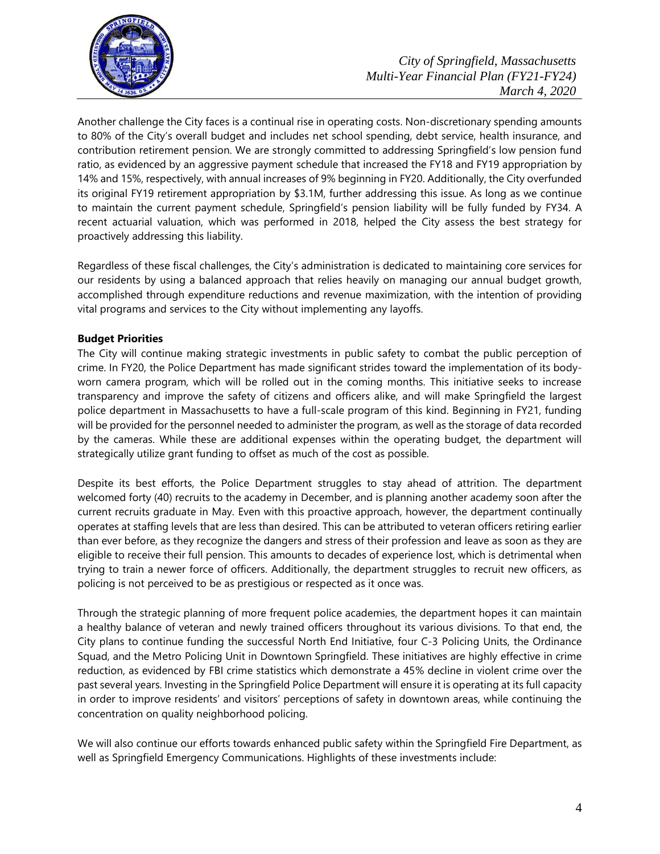

Another challenge the City faces is a continual rise in operating costs. Non-discretionary spending amounts to 80% of the City's overall budget and includes net school spending, debt service, health insurance, and contribution retirement pension. We are strongly committed to addressing Springfield's low pension fund ratio, as evidenced by an aggressive payment schedule that increased the FY18 and FY19 appropriation by 14% and 15%, respectively, with annual increases of 9% beginning in FY20. Additionally, the City overfunded its original FY19 retirement appropriation by \$3.1M, further addressing this issue. As long as we continue to maintain the current payment schedule, Springfield's pension liability will be fully funded by FY34. A recent actuarial valuation, which was performed in 2018, helped the City assess the best strategy for proactively addressing this liability.

Regardless of these fiscal challenges, the City's administration is dedicated to maintaining core services for our residents by using a balanced approach that relies heavily on managing our annual budget growth, accomplished through expenditure reductions and revenue maximization, with the intention of providing vital programs and services to the City without implementing any layoffs.

# **Budget Priorities**

The City will continue making strategic investments in public safety to combat the public perception of crime. In FY20, the Police Department has made significant strides toward the implementation of its bodyworn camera program, which will be rolled out in the coming months. This initiative seeks to increase transparency and improve the safety of citizens and officers alike, and will make Springfield the largest police department in Massachusetts to have a full-scale program of this kind. Beginning in FY21, funding will be provided for the personnel needed to administer the program, as well as the storage of data recorded by the cameras. While these are additional expenses within the operating budget, the department will strategically utilize grant funding to offset as much of the cost as possible.

Despite its best efforts, the Police Department struggles to stay ahead of attrition. The department welcomed forty (40) recruits to the academy in December, and is planning another academy soon after the current recruits graduate in May. Even with this proactive approach, however, the department continually operates at staffing levels that are less than desired. This can be attributed to veteran officers retiring earlier than ever before, as they recognize the dangers and stress of their profession and leave as soon as they are eligible to receive their full pension. This amounts to decades of experience lost, which is detrimental when trying to train a newer force of officers. Additionally, the department struggles to recruit new officers, as policing is not perceived to be as prestigious or respected as it once was.

Through the strategic planning of more frequent police academies, the department hopes it can maintain a healthy balance of veteran and newly trained officers throughout its various divisions. To that end, the City plans to continue funding the successful North End Initiative, four C-3 Policing Units, the Ordinance Squad, and the Metro Policing Unit in Downtown Springfield. These initiatives are highly effective in crime reduction, as evidenced by FBI crime statistics which demonstrate a 45% decline in violent crime over the past several years. Investing in the Springfield Police Department will ensure it is operating at its full capacity in order to improve residents' and visitors' perceptions of safety in downtown areas, while continuing the concentration on quality neighborhood policing.

We will also continue our efforts towards enhanced public safety within the Springfield Fire Department, as well as Springfield Emergency Communications. Highlights of these investments include: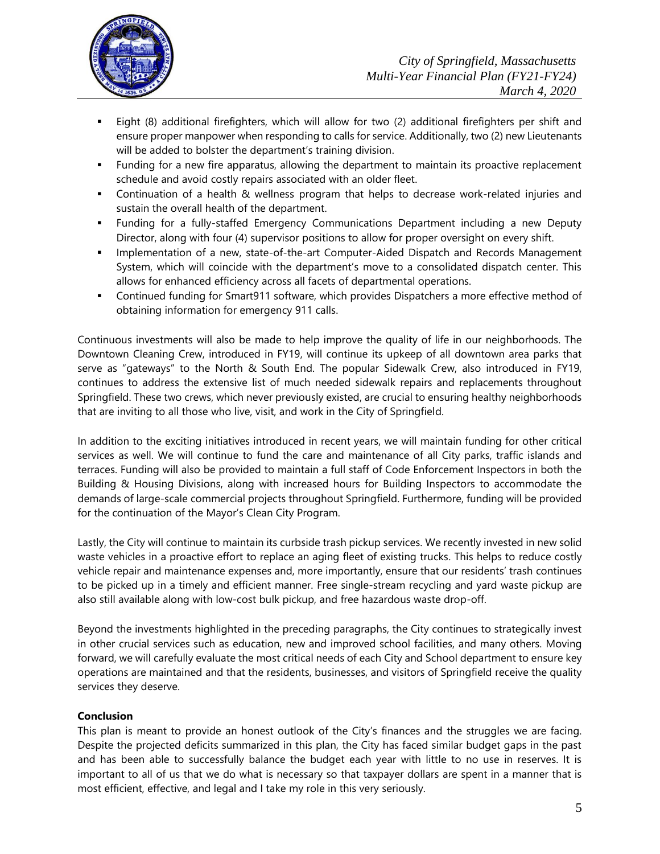

- Eight (8) additional firefighters, which will allow for two (2) additional firefighters per shift and ensure proper manpower when responding to calls for service. Additionally, two (2) new Lieutenants will be added to bolster the department's training division.
- Funding for a new fire apparatus, allowing the department to maintain its proactive replacement schedule and avoid costly repairs associated with an older fleet.
- Continuation of a health & wellness program that helps to decrease work-related injuries and sustain the overall health of the department.
- Funding for a fully-staffed Emergency Communications Department including a new Deputy Director, along with four (4) supervisor positions to allow for proper oversight on every shift.
- **Implementation of a new, state-of-the-art Computer-Aided Dispatch and Records Management** System, which will coincide with the department's move to a consolidated dispatch center. This allows for enhanced efficiency across all facets of departmental operations.
- Continued funding for Smart911 software, which provides Dispatchers a more effective method of obtaining information for emergency 911 calls.

Continuous investments will also be made to help improve the quality of life in our neighborhoods. The Downtown Cleaning Crew, introduced in FY19, will continue its upkeep of all downtown area parks that serve as "gateways" to the North & South End. The popular Sidewalk Crew, also introduced in FY19, continues to address the extensive list of much needed sidewalk repairs and replacements throughout Springfield. These two crews, which never previously existed, are crucial to ensuring healthy neighborhoods that are inviting to all those who live, visit, and work in the City of Springfield.

In addition to the exciting initiatives introduced in recent years, we will maintain funding for other critical services as well. We will continue to fund the care and maintenance of all City parks, traffic islands and terraces. Funding will also be provided to maintain a full staff of Code Enforcement Inspectors in both the Building & Housing Divisions, along with increased hours for Building Inspectors to accommodate the demands of large-scale commercial projects throughout Springfield. Furthermore, funding will be provided for the continuation of the Mayor's Clean City Program.

Lastly, the City will continue to maintain its curbside trash pickup services. We recently invested in new solid waste vehicles in a proactive effort to replace an aging fleet of existing trucks. This helps to reduce costly vehicle repair and maintenance expenses and, more importantly, ensure that our residents' trash continues to be picked up in a timely and efficient manner. Free single-stream recycling and yard waste pickup are also still available along with low-cost bulk pickup, and free hazardous waste drop-off.

Beyond the investments highlighted in the preceding paragraphs, the City continues to strategically invest in other crucial services such as education, new and improved school facilities, and many others. Moving forward, we will carefully evaluate the most critical needs of each City and School department to ensure key operations are maintained and that the residents, businesses, and visitors of Springfield receive the quality services they deserve.

# **Conclusion**

This plan is meant to provide an honest outlook of the City's finances and the struggles we are facing. Despite the projected deficits summarized in this plan, the City has faced similar budget gaps in the past and has been able to successfully balance the budget each year with little to no use in reserves. It is important to all of us that we do what is necessary so that taxpayer dollars are spent in a manner that is most efficient, effective, and legal and I take my role in this very seriously.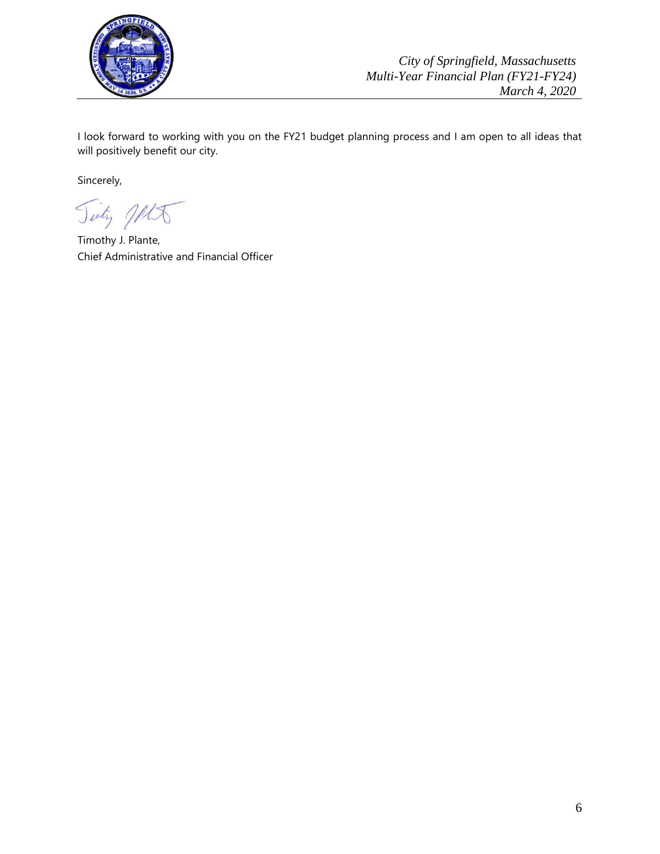

I look forward to working with you on the FY21 budget planning process and I am open to all ideas that will positively benefit our city.

Sincerely,

Tinty JAK

Timothy J. Plante, Chief Administrative and Financial Officer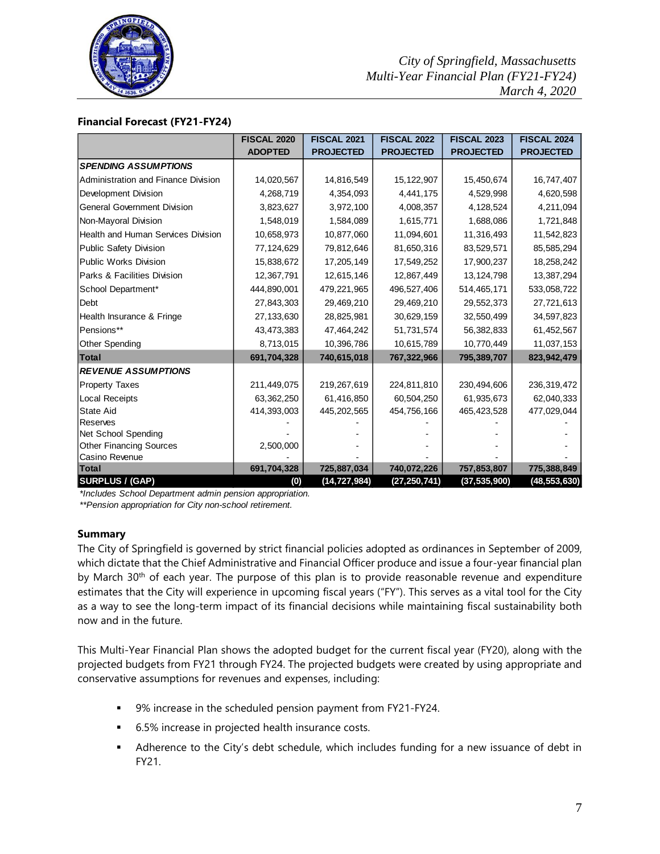

#### **Financial Forecast (FY21-FY24)**

|                                            | <b>FISCAL 2020</b> | <b>FISCAL 2021</b> | <b>FISCAL 2022</b>           | <b>FISCAL 2023</b> | <b>FISCAL 2024</b> |  |
|--------------------------------------------|--------------------|--------------------|------------------------------|--------------------|--------------------|--|
|                                            | <b>ADOPTED</b>     | <b>PROJECTED</b>   | <b>PROJECTED</b>             | <b>PROJECTED</b>   | <b>PROJECTED</b>   |  |
| <b>SPENDING ASSUMPTIONS</b>                |                    |                    |                              |                    |                    |  |
| <b>Administration and Finance Division</b> | 14,020,567         | 14,816,549         | 15, 122, 907                 | 15,450,674         | 16,747,407         |  |
| Development Division                       | 4,268,719          | 4,354,093          | 4,441,175                    | 4,529,998          | 4,620,598          |  |
| <b>General Government Division</b>         | 3,823,627          | 3,972,100          | 4,008,357                    | 4,128,524          | 4,211,094          |  |
| Non-Mayoral Division                       | 1,548,019          | 1,584,089          | 1,615,771                    | 1,688,086          | 1,721,848          |  |
| <b>Health and Human Services Division</b>  | 10,658,973         | 10,877,060         | 11,094,601                   | 11,316,493         | 11,542,823         |  |
| <b>Public Safety Division</b>              | 77,124,629         | 79,812,646         | 81,650,316                   | 83,529,571         | 85,585,294         |  |
| <b>Public Works Division</b>               | 15,838,672         | 17,205,149         | 17,549,252                   | 17,900,237         | 18,258,242         |  |
| <b>Parks &amp; Facilities Division</b>     | 12,367,791         | 12,615,146         | 12,867,449                   | 13, 124, 798       | 13,387,294         |  |
| School Department*                         | 444,890,001        | 479,221,965        | 496,527,406                  | 514,465,171        | 533,058,722        |  |
| Debt                                       | 27,843,303         | 29,469,210         | 29,469,210                   | 29,552,373         | 27,721,613         |  |
| Health Insurance & Fringe                  | 27,133,630         | 28,825,981         | 30,629,159                   | 32,550,499         | 34,597,823         |  |
| Pensions**                                 | 43,473,383         | 47,464,242         | 51,731,574                   | 56,382,833         | 61,452,567         |  |
| Other Spending                             | 8,713,015          | 10,396,786         | 10,615,789                   | 10,770,449         |                    |  |
| <b>Total</b>                               | 691,704,328        | 740,615,018        | 767,322,966                  | 795,389,707        | 823,942,479        |  |
| <b>REVENUE ASSUMPTIONS</b>                 |                    |                    |                              |                    |                    |  |
| <b>Property Taxes</b>                      | 211,449,075        | 219,267,619        | 224,811,810                  | 230,494,606        | 236,319,472        |  |
| Local Receipts                             | 63,362,250         | 61,416,850         | 60,504,250<br>61,935,673     |                    | 62,040,333         |  |
| <b>State Aid</b>                           | 414,393,003        | 445,202,565        | 454,756,166<br>465, 423, 528 |                    | 477,029,044        |  |
| Reserves                                   |                    |                    |                              |                    |                    |  |
| Net School Spending                        |                    |                    |                              |                    |                    |  |
| <b>Other Financing Sources</b>             | 2,500,000          |                    |                              |                    |                    |  |
| Casino Revenue                             |                    |                    |                              |                    |                    |  |
| <b>Total</b>                               | 691,704,328        | 725,887,034        | 740,072,226                  | 757,853,807        | 775,388,849        |  |
| <b>SURPLUS / (GAP)</b>                     | (0)                | (14, 727, 984)     | (27, 250, 741)               | (37, 535, 900)     | (48, 553, 630)     |  |

*\*Includes School Department admin pension appropriation.*

*\*\*Pension appropriation for City non-school retirement.* 

#### **Summary**

The City of Springfield is governed by strict financial policies adopted as ordinances in September of 2009, which dictate that the Chief Administrative and Financial Officer produce and issue a four-year financial plan by March 30<sup>th</sup> of each year. The purpose of this plan is to provide reasonable revenue and expenditure estimates that the City will experience in upcoming fiscal years ("FY"). This serves as a vital tool for the City as a way to see the long-term impact of its financial decisions while maintaining fiscal sustainability both now and in the future.

This Multi-Year Financial Plan shows the adopted budget for the current fiscal year (FY20), along with the projected budgets from FY21 through FY24. The projected budgets were created by using appropriate and conservative assumptions for revenues and expenses, including:

- 9% increase in the scheduled pension payment from FY21-FY24.
- 6.5% increase in projected health insurance costs.
- Adherence to the City's debt schedule, which includes funding for a new issuance of debt in FY21.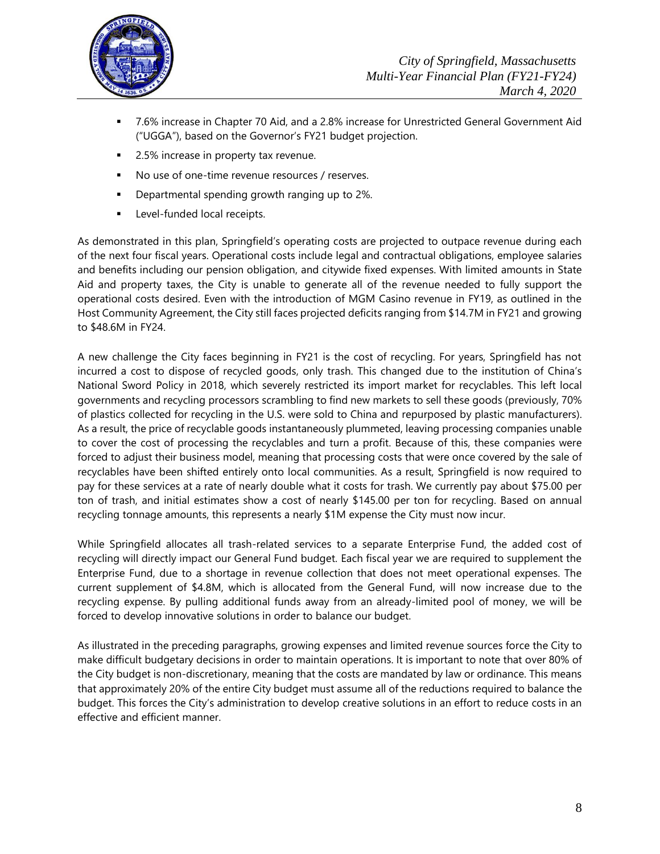

- 7.6% increase in Chapter 70 Aid, and a 2.8% increase for Unrestricted General Government Aid ("UGGA"), based on the Governor's FY21 budget projection.
- 2.5% increase in property tax revenue.
- No use of one-time revenue resources / reserves.
- **•** Departmental spending growth ranging up to 2%.
- **Level-funded local receipts.**

As demonstrated in this plan, Springfield's operating costs are projected to outpace revenue during each of the next four fiscal years. Operational costs include legal and contractual obligations, employee salaries and benefits including our pension obligation, and citywide fixed expenses. With limited amounts in State Aid and property taxes, the City is unable to generate all of the revenue needed to fully support the operational costs desired. Even with the introduction of MGM Casino revenue in FY19, as outlined in the Host Community Agreement, the City still faces projected deficits ranging from \$14.7M in FY21 and growing to \$48.6M in FY24.

A new challenge the City faces beginning in FY21 is the cost of recycling. For years, Springfield has not incurred a cost to dispose of recycled goods, only trash. This changed due to the institution of China's National Sword Policy in 2018, which severely restricted its import market for recyclables. This left local governments and recycling processors scrambling to find new markets to sell these goods (previously, 70% of plastics collected for recycling in the U.S. were sold to China and repurposed by plastic manufacturers). As a result, the price of recyclable goods instantaneously plummeted, leaving processing companies unable to cover the cost of processing the recyclables and turn a profit. Because of this, these companies were forced to adjust their business model, meaning that processing costs that were once covered by the sale of recyclables have been shifted entirely onto local communities. As a result, Springfield is now required to pay for these services at a rate of nearly double what it costs for trash. We currently pay about \$75.00 per ton of trash, and initial estimates show a cost of nearly \$145.00 per ton for recycling. Based on annual recycling tonnage amounts, this represents a nearly \$1M expense the City must now incur.

While Springfield allocates all trash-related services to a separate Enterprise Fund, the added cost of recycling will directly impact our General Fund budget. Each fiscal year we are required to supplement the Enterprise Fund, due to a shortage in revenue collection that does not meet operational expenses. The current supplement of \$4.8M, which is allocated from the General Fund, will now increase due to the recycling expense. By pulling additional funds away from an already-limited pool of money, we will be forced to develop innovative solutions in order to balance our budget.

As illustrated in the preceding paragraphs, growing expenses and limited revenue sources force the City to make difficult budgetary decisions in order to maintain operations. It is important to note that over 80% of the City budget is non-discretionary, meaning that the costs are mandated by law or ordinance. This means that approximately 20% of the entire City budget must assume all of the reductions required to balance the budget. This forces the City's administration to develop creative solutions in an effort to reduce costs in an effective and efficient manner.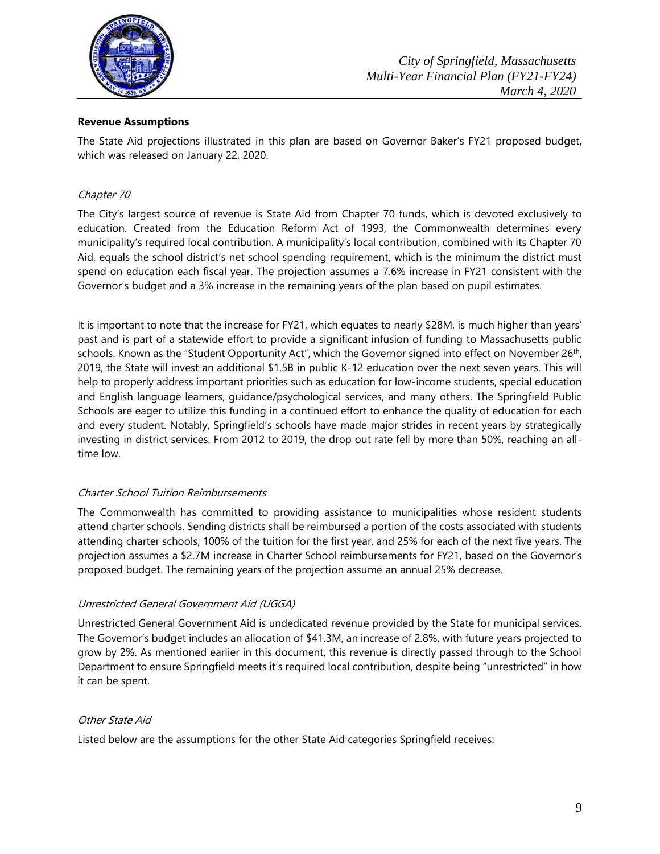

#### **Revenue Assumptions**

The State Aid projections illustrated in this plan are based on Governor Baker's FY21 proposed budget, which was released on January 22, 2020.

#### Chapter 70

The City's largest source of revenue is State Aid from Chapter 70 funds, which is devoted exclusively to education. Created from the Education Reform Act of 1993, the Commonwealth determines every municipality's required local contribution. A municipality's local contribution, combined with its Chapter 70 Aid, equals the school district's net school spending requirement, which is the minimum the district must spend on education each fiscal year. The projection assumes a 7.6% increase in FY21 consistent with the Governor's budget and a 3% increase in the remaining years of the plan based on pupil estimates.

It is important to note that the increase for FY21, which equates to nearly \$28M, is much higher than years' past and is part of a statewide effort to provide a significant infusion of funding to Massachusetts public schools. Known as the "Student Opportunity Act", which the Governor signed into effect on November 26<sup>th</sup>, 2019, the State will invest an additional \$1.5B in public K-12 education over the next seven years. This will help to properly address important priorities such as education for low-income students, special education and English language learners, guidance/psychological services, and many others. The Springfield Public Schools are eager to utilize this funding in a continued effort to enhance the quality of education for each and every student. Notably, Springfield's schools have made major strides in recent years by strategically investing in district services. From 2012 to 2019, the drop out rate fell by more than 50%, reaching an alltime low.

#### Charter School Tuition Reimbursements

The Commonwealth has committed to providing assistance to municipalities whose resident students attend charter schools. Sending districts shall be reimbursed a portion of the costs associated with students attending charter schools; 100% of the tuition for the first year, and 25% for each of the next five years. The projection assumes a \$2.7M increase in Charter School reimbursements for FY21, based on the Governor's proposed budget. The remaining years of the projection assume an annual 25% decrease.

#### Unrestricted General Government Aid (UGGA)

Unrestricted General Government Aid is undedicated revenue provided by the State for municipal services. The Governor's budget includes an allocation of \$41.3M, an increase of 2.8%, with future years projected to grow by 2%. As mentioned earlier in this document, this revenue is directly passed through to the School Department to ensure Springfield meets it's required local contribution, despite being "unrestricted" in how it can be spent.

#### Other State Aid

Listed below are the assumptions for the other State Aid categories Springfield receives: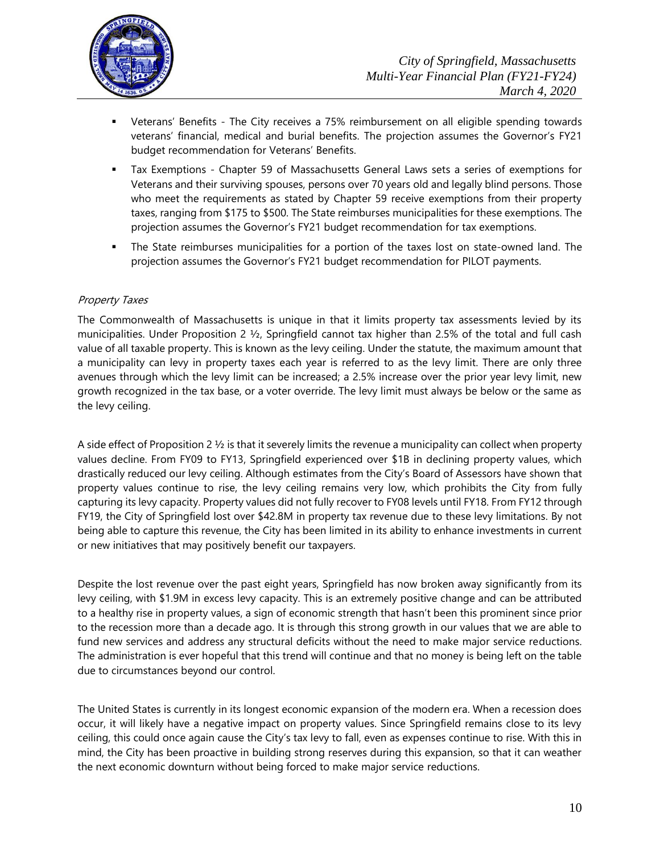

- Veterans' Benefits The City receives a 75% reimbursement on all eligible spending towards veterans' financial, medical and burial benefits. The projection assumes the Governor's FY21 budget recommendation for Veterans' Benefits.
- Tax Exemptions Chapter 59 of Massachusetts General Laws sets a series of exemptions for Veterans and their surviving spouses, persons over 70 years old and legally blind persons. Those who meet the requirements as stated by Chapter 59 receive exemptions from their property taxes, ranging from \$175 to \$500. The State reimburses municipalities for these exemptions. The projection assumes the Governor's FY21 budget recommendation for tax exemptions.
- The State reimburses municipalities for a portion of the taxes lost on state-owned land. The projection assumes the Governor's FY21 budget recommendation for PILOT payments.

#### Property Taxes

The Commonwealth of Massachusetts is unique in that it limits property tax assessments levied by its municipalities. Under Proposition 2  $\frac{1}{2}$ , Springfield cannot tax higher than 2.5% of the total and full cash value of all taxable property. This is known as the levy ceiling. Under the statute, the maximum amount that a municipality can levy in property taxes each year is referred to as the levy limit. There are only three avenues through which the levy limit can be increased; a 2.5% increase over the prior year levy limit, new growth recognized in the tax base, or a voter override. The levy limit must always be below or the same as the levy ceiling.

A side effect of Proposition 2 ½ is that it severely limits the revenue a municipality can collect when property values decline. From FY09 to FY13, Springfield experienced over \$1B in declining property values, which drastically reduced our levy ceiling. Although estimates from the City's Board of Assessors have shown that property values continue to rise, the levy ceiling remains very low, which prohibits the City from fully capturing its levy capacity. Property values did not fully recover to FY08 levels until FY18. From FY12 through FY19, the City of Springfield lost over \$42.8M in property tax revenue due to these levy limitations. By not being able to capture this revenue, the City has been limited in its ability to enhance investments in current or new initiatives that may positively benefit our taxpayers.

Despite the lost revenue over the past eight years, Springfield has now broken away significantly from its levy ceiling, with \$1.9M in excess levy capacity. This is an extremely positive change and can be attributed to a healthy rise in property values, a sign of economic strength that hasn't been this prominent since prior to the recession more than a decade ago. It is through this strong growth in our values that we are able to fund new services and address any structural deficits without the need to make major service reductions. The administration is ever hopeful that this trend will continue and that no money is being left on the table due to circumstances beyond our control.

The United States is currently in its longest economic expansion of the modern era. When a recession does occur, it will likely have a negative impact on property values. Since Springfield remains close to its levy ceiling, this could once again cause the City's tax levy to fall, even as expenses continue to rise. With this in mind, the City has been proactive in building strong reserves during this expansion, so that it can weather the next economic downturn without being forced to make major service reductions.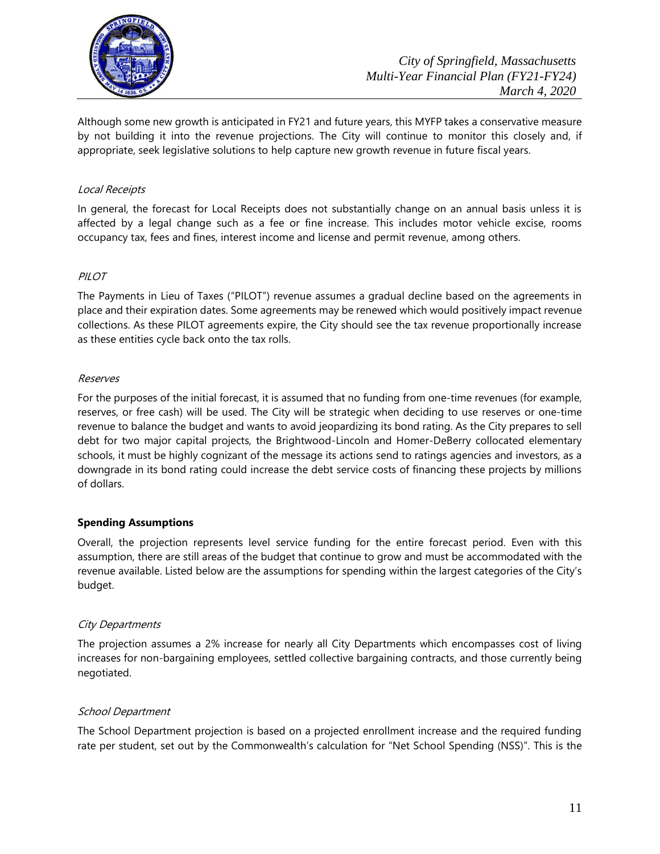

Although some new growth is anticipated in FY21 and future years, this MYFP takes a conservative measure by not building it into the revenue projections. The City will continue to monitor this closely and, if appropriate, seek legislative solutions to help capture new growth revenue in future fiscal years.

#### Local Receipts

In general, the forecast for Local Receipts does not substantially change on an annual basis unless it is affected by a legal change such as a fee or fine increase. This includes motor vehicle excise, rooms occupancy tax, fees and fines, interest income and license and permit revenue, among others.

#### PILOT

The Payments in Lieu of Taxes ("PILOT") revenue assumes a gradual decline based on the agreements in place and their expiration dates. Some agreements may be renewed which would positively impact revenue collections. As these PILOT agreements expire, the City should see the tax revenue proportionally increase as these entities cycle back onto the tax rolls.

#### Reserves

For the purposes of the initial forecast, it is assumed that no funding from one-time revenues (for example, reserves, or free cash) will be used. The City will be strategic when deciding to use reserves or one-time revenue to balance the budget and wants to avoid jeopardizing its bond rating. As the City prepares to sell debt for two major capital projects, the Brightwood-Lincoln and Homer-DeBerry collocated elementary schools, it must be highly cognizant of the message its actions send to ratings agencies and investors, as a downgrade in its bond rating could increase the debt service costs of financing these projects by millions of dollars.

#### **Spending Assumptions**

Overall, the projection represents level service funding for the entire forecast period. Even with this assumption, there are still areas of the budget that continue to grow and must be accommodated with the revenue available. Listed below are the assumptions for spending within the largest categories of the City's budget.

#### City Departments

The projection assumes a 2% increase for nearly all City Departments which encompasses cost of living increases for non-bargaining employees, settled collective bargaining contracts, and those currently being negotiated.

#### School Department

The School Department projection is based on a projected enrollment increase and the required funding rate per student, set out by the Commonwealth's calculation for "Net School Spending (NSS)". This is the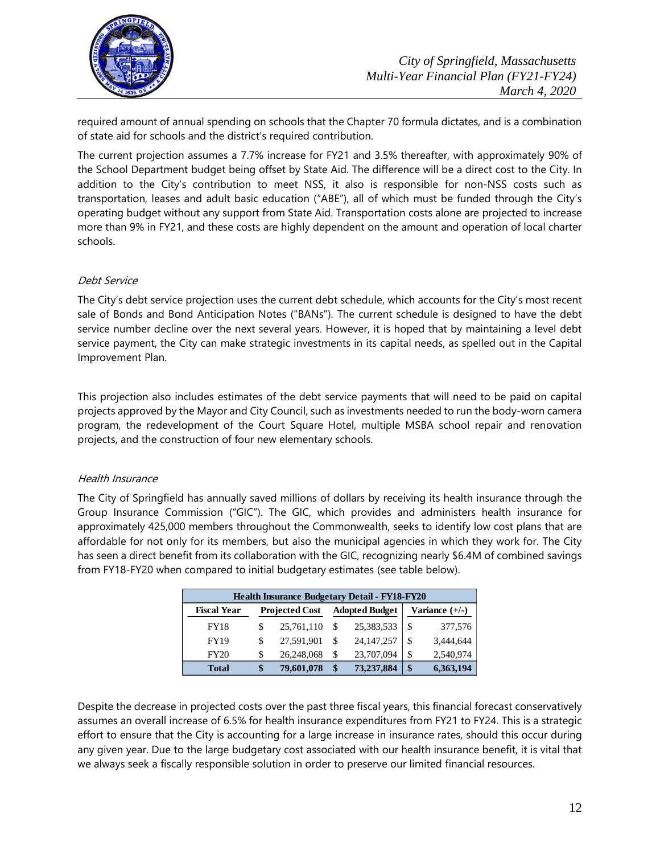

required amount of annual spending on schools that the Chapter 70 formula dictates, and is a combination of state aid for schools and the district's required contribution.

The current projection assumes a 7.7% increase for FY21 and 3.5% thereafter, with approximately 90% of the School Department budget being offset by State Aid. The difference will be a direct cost to the City. In addition to the City's contribution to meet NSS, it also is responsible for non-NSS costs such as transportation, leases and adult basic education ("ABE"), all of which must be funded through the City's operating budget without any support from State Aid. Transportation costs alone are projected to increase more than 9% in FY21, and these costs are highly dependent on the amount and operation of local charter schools.

#### Debt Service

The City's debt service projection uses the current debt schedule, which accounts for the City's most recent sale of Bonds and Bond Anticipation Notes ("BANs"). The current schedule is designed to have the debt service number decline over the next several years. However, it is hoped that by maintaining a level debt service payment, the City can make strategic investments in its capital needs, as spelled out in the Capital Improvement Plan.

This projection also includes estimates of the debt service payments that will need to be paid on capital projects approved by the Mayor and City Council, such as investments needed to run the body-worn camera program, the redevelopment of the Court Square Hotel, multiple MSBA school repair and renovation projects, and the construction of four new elementary schools.

# Health Insurance

The City of Springfield has annually saved millions of dollars by receiving its health insurance through the Group Insurance Commission ("GIC"). The GIC, which provides and administers health insurance for approximately 425,000 members throughout the Commonwealth, seeks to identify low cost plans that are affordable for not only for its members, but also the municipal agencies in which they work for. The City has seen a direct benefit from its collaboration with the GIC, recognizing nearly \$6.4M of combined savings from FY18-FY20 when compared to initial budgetary estimates (see table below).

| <b>Health Insurance Budgetary Detail - FY18-FY20</b> |                       |            |                       |              |                  |           |  |
|------------------------------------------------------|-----------------------|------------|-----------------------|--------------|------------------|-----------|--|
| <b>Fiscal Year</b>                                   | <b>Projected Cost</b> |            | <b>Adopted Budget</b> |              | Variance $(+/-)$ |           |  |
| <b>FY18</b>                                          | S                     | 25,761,110 |                       | 25,383,533   | \$.              | 377,576   |  |
| <b>FY19</b>                                          | \$                    | 27.591.901 |                       | 24, 147, 257 | \$               | 3.444,644 |  |
| <b>FY20</b>                                          | S                     | 26,248,068 | S                     | 23,707,094   | \$               | 2,540,974 |  |
| <b>Total</b>                                         | S                     | 79,601,078 | \$                    | 73,237,884   | \$               | 6,363,194 |  |

Despite the decrease in projected costs over the past three fiscal years, this financial forecast conservatively assumes an overall increase of 6.5% for health insurance expenditures from FY21 to FY24. This is a strategic effort to ensure that the City is accounting for a large increase in insurance rates, should this occur during any given year. Due to the large budgetary cost associated with our health insurance benefit, it is vital that we always seek a fiscally responsible solution in order to preserve our limited financial resources.